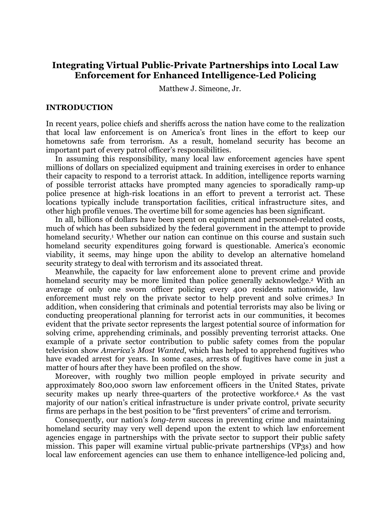# **Integrating Virtual Public-Private Partnerships into Local Law Enforcement for Enhanced Intelligence-Led Policing**

Matthew J. Simeone, Jr.

## **INTRODUCTION**

In recent years, police chiefs and sheriffs across the nation have come to the realization that local law enforcement is on America's front lines in the effort to keep our hometowns safe from terrorism. As a result, homeland security has become an important part of every patrol officer's responsibilities.

In assuming this responsibility, many local law enforcement agencies have spent millions of dollars on specialized equipment and training exercises in order to enhance their capacity to respond to a terrorist attack. In addition, intelligence reports warning of possible terrorist attacks have prompted many agencies to sporadically ramp-up police presence at high-risk locations in an effort to prevent a terrorist act. These locations typically include transportation facilities, critical infrastructure sites, and other high profile venues. The overtime bill for some agencies has been significant.

In all, billions of dollars have been spent on equipment and personnel-related costs, much of which has been subsidized by the federal government in the attempt to provide homeland security.<sup>1</sup> Whether our nation can continue on this course and sustain such homeland security expenditures going forward is questionable. America's economic viability, it seems, may hinge upon the ability to develop an alternative homeland security strategy to deal with terrorism and its associated threat.

Meanwhile, the capacity for law enforcement alone to prevent crime and provide homeland security may be more limited than police generally acknowledge.<sup>2</sup> With an average of only one sworn officer policing every 400 residents nationwide, law enforcement must rely on the private sector to help prevent and solve crimes.3 In addition, when considering that criminals and potential terrorists may also be living or conducting preoperational planning for terrorist acts in our communities, it becomes evident that the private sector represents the largest potential source of information for solving crime, apprehending criminals, and possibly preventing terrorist attacks. One example of a private sector contribution to public safety comes from the popular television show *America's Most Wanted*, which has helped to apprehend fugitives who have evaded arrest for years. In some cases, arrests of fugitives have come in just a matter of hours after they have been profiled on the show.

Moreover, with roughly two million people employed in private security and approximately 800,000 sworn law enforcement officers in the United States, private security makes up nearly three-quarters of the protective workforce.4 As the vast majority of our nation's critical infrastructure is under private control, private security firms are perhaps in the best position to be "first preventers" of crime and terrorism.

Consequently, our nation's *long-term* success in preventing crime and maintaining homeland security may very well depend upon the extent to which law enforcement agencies engage in partnerships with the private sector to support their public safety mission. This paper will examine virtual public-private partnerships (VP3s) and how local law enforcement agencies can use them to enhance intelligence-led policing and,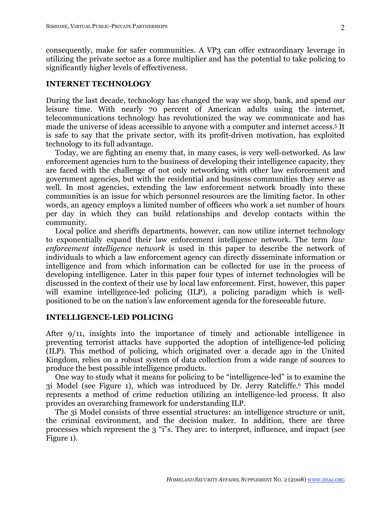consequently, make for safer communities. A VP3 can offer extraordinary leverage in utilizing the private sector as a force multiplier and has the potential to take policing to significantly higher levels of effectiveness.

## **INTERNET TECHNOLOGY**

During the last decade, technology has changed the way we shop, bank, and spend our leisure time. With nearly 70 percent of American adults using the internet, telecommunications technology has revolutionized the way we communicate and has made the universe of ideas accessible to anyone with a computer and internet access.5 It is safe to say that the private sector, with its profit-driven motivation, has exploited technology to its full advantage.

Today, we are fighting an enemy that, in many cases, is very well-networked. As law enforcement agencies turn to the business of developing their intelligence capacity, they are faced with the challenge of not only networking with other law enforcement and government agencies, but with the residential and business communities they serve as well. In most agencies, extending the law enforcement network broadly into these communities is an issue for which personnel resources are the limiting factor. In other words, an agency employs a limited number of officers who work a set number of hours per day in which they can build relationships and develop contacts within the community.

Local police and sheriffs departments, however, can now utilize internet technology to exponentially expand their law enforcement intelligence network. The term *law enforcement intelligence network* is used in this paper to describe the network of individuals to which a law enforcement agency can directly disseminate information or intelligence and from which information can be collected for use in the process of developing intelligence. Later in this paper four types of internet technologies will be discussed in the context of their use by local law enforcement. First, however, this paper will examine intelligence-led policing (ILP), a policing paradigm which is wellpositioned to be on the nation's law enforcement agenda for the foreseeable future.

#### **INTELLIGENCE-LED POLICING**

After 9/11, insights into the importance of timely and actionable intelligence in preventing terrorist attacks have supported the adoption of intelligence-led policing (ILP). This method of policing, which originated over a decade ago in the United Kingdom, relies on a robust system of data collection from a wide range of sources to produce the best possible intelligence products.

One way to study what it means for policing to be "intelligence-led" is to examine the 3i Model (see Figure 1), which was introduced by Dr. Jerry Ratcliffe.6 This model represents a method of crime reduction utilizing an intelligence-led process. It also provides an overarching framework for understanding ILP.

The 3i Model consists of three essential structures: an intelligence structure or unit, the criminal environment, and the decision maker. In addition, there are three processes which represent the 3 "i"s. They are: to interpret, influence, and impact (see Figure 1).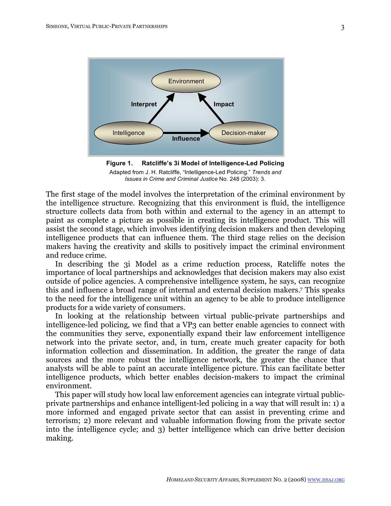

**Figure 1. Ratcliffe's 3i Model of Intelligence-Led Policing** Adapted from J. H. Ratcliffe, "Intelligence-Led Policing." *Trends and Issues in Crime and Criminal Justice* No. 248 (2003): 3.

The first stage of the model involves the interpretation of the criminal environment by the intelligence structure. Recognizing that this environment is fluid, the intelligence structure collects data from both within and external to the agency in an attempt to paint as complete a picture as possible in creating its intelligence product. This will assist the second stage, which involves identifying decision makers and then developing intelligence products that can influence them. The third stage relies on the decision makers having the creativity and skills to positively impact the criminal environment and reduce crime.

In describing the 3i Model as a crime reduction process, Ratcliffe notes the importance of local partnerships and acknowledges that decision makers may also exist outside of police agencies. A comprehensive intelligence system, he says, can recognize this and influence a broad range of internal and external decision makers.7 This speaks to the need for the intelligence unit within an agency to be able to produce intelligence products for a wide variety of consumers.

In looking at the relationship between virtual public-private partnerships and intelligence-led policing, we find that a VP3 can better enable agencies to connect with the communities they serve, exponentially expand their law enforcement intelligence network into the private sector, and, in turn, create much greater capacity for both information collection and dissemination. In addition, the greater the range of data sources and the more robust the intelligence network, the greater the chance that analysts will be able to paint an accurate intelligence picture. This can facilitate better intelligence products, which better enables decision-makers to impact the criminal environment.

This paper will study how local law enforcement agencies can integrate virtual publicprivate partnerships and enhance intelligent-led policing in a way that will result in: 1) a more informed and engaged private sector that can assist in preventing crime and terrorism; 2) more relevant and valuable information flowing from the private sector into the intelligence cycle; and 3) better intelligence which can drive better decision making.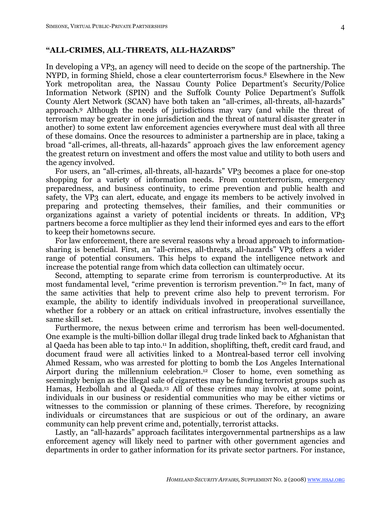## **"ALL-CRIMES, ALL-THREATS, ALL-HAZARDS"**

In developing a VP3, an agency will need to decide on the scope of the partnership. The NYPD, in forming Shield, chose a clear counterterrorism focus.8 Elsewhere in the New York metropolitan area, the Nassau County Police Department's Security/Police Information Network (SPIN) and the Suffolk County Police Department's Suffolk County Alert Network (SCAN) have both taken an "all-crimes, all-threats, all-hazards" approach.9 Although the needs of jurisdictions may vary (and while the threat of terrorism may be greater in one jurisdiction and the threat of natural disaster greater in another) to some extent law enforcement agencies everywhere must deal with all three of these domains. Once the resources to administer a partnership are in place, taking a broad "all-crimes, all-threats, all-hazards" approach gives the law enforcement agency the greatest return on investment and offers the most value and utility to both users and the agency involved.

For users, an "all-crimes, all-threats, all-hazards" VP3 becomes a place for one-stop shopping for a variety of information needs. From counterterrorism, emergency preparedness, and business continuity, to crime prevention and public health and safety, the VP3 can alert, educate, and engage its members to be actively involved in preparing and protecting themselves, their families, and their communities or organizations against a variety of potential incidents or threats. In addition, VP3 partners become a force multiplier as they lend their informed eyes and ears to the effort to keep their hometowns secure.

For law enforcement, there are several reasons why a broad approach to informationsharing is beneficial. First, an "all-crimes, all-threats, all-hazards" VP3 offers a wider range of potential consumers. This helps to expand the intelligence network and increase the potential range from which data collection can ultimately occur.

Second, attempting to separate crime from terrorism is counterproductive. At its most fundamental level, "crime prevention is terrorism prevention."10 In fact, many of the same activities that help to prevent crime also help to prevent terrorism. For example, the ability to identify individuals involved in preoperational surveillance, whether for a robbery or an attack on critical infrastructure, involves essentially the same skill set.

Furthermore, the nexus between crime and terrorism has been well-documented. One example is the multi-billion dollar illegal drug trade linked back to Afghanistan that al Qaeda has been able to tap into.11 In addition, shoplifting, theft, credit card fraud, and document fraud were all activities linked to a Montreal-based terror cell involving Ahmed Ressam, who was arrested for plotting to bomb the Los Angeles International Airport during the millennium celebration.<sup>12</sup> Closer to home, even something as seemingly benign as the illegal sale of cigarettes may be funding terrorist groups such as Hamas, Hezbollah and al Qaeda.13 All of these crimes may involve, at some point, individuals in our business or residential communities who may be either victims or witnesses to the commission or planning of these crimes. Therefore, by recognizing individuals or circumstances that are suspicious or out of the ordinary, an aware community can help prevent crime and, potentially, terrorist attacks.

Lastly, an "all-hazards" approach facilitates intergovernmental partnerships as a law enforcement agency will likely need to partner with other government agencies and departments in order to gather information for its private sector partners. For instance,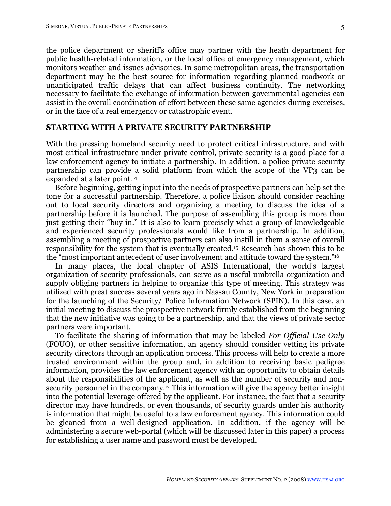the police department or sheriff's office may partner with the heath department for public health-related information, or the local office of emergency management, which monitors weather and issues advisories. In some metropolitan areas, the transportation department may be the best source for information regarding planned roadwork or unanticipated traffic delays that can affect business continuity. The networking necessary to facilitate the exchange of information between governmental agencies can assist in the overall coordination of effort between these same agencies during exercises, or in the face of a real emergency or catastrophic event.

## **STARTING WITH A PRIVATE SECURITY PARTNERSHIP**

With the pressing homeland security need to protect critical infrastructure, and with most critical infrastructure under private control, private security is a good place for a law enforcement agency to initiate a partnership. In addition, a police-private security partnership can provide a solid platform from which the scope of the VP3 can be expanded at a later point.14

Before beginning, getting input into the needs of prospective partners can help set the tone for a successful partnership. Therefore, a police liaison should consider reaching out to local security directors and organizing a meeting to discuss the idea of a partnership before it is launched. The purpose of assembling this group is more than just getting their "buy-in." It is also to learn precisely what a group of knowledgeable and experienced security professionals would like from a partnership. In addition, assembling a meeting of prospective partners can also instill in them a sense of overall responsibility for the system that is eventually created.15 Research has shown this to be the "most important antecedent of user involvement and attitude toward the system."16

In many places, the local chapter of ASIS International, the world's largest organization of security professionals, can serve as a useful umbrella organization and supply obliging partners in helping to organize this type of meeting. This strategy was utilized with great success several years ago in Nassau County, New York in preparation for the launching of the Security/ Police Information Network (SPIN). In this case, an initial meeting to discuss the prospective network firmly established from the beginning that the new initiative was going to be a partnership, and that the views of private sector partners were important.

To facilitate the sharing of information that may be labeled *For Official Use Only*  (FOUO), or other sensitive information, an agency should consider vetting its private security directors through an application process. This process will help to create a more trusted environment within the group and, in addition to receiving basic pedigree information, provides the law enforcement agency with an opportunity to obtain details about the responsibilities of the applicant, as well as the number of security and nonsecurity personnel in the company.17 This information will give the agency better insight into the potential leverage offered by the applicant. For instance, the fact that a security director may have hundreds, or even thousands, of security guards under his authority is information that might be useful to a law enforcement agency. This information could be gleaned from a well-designed application. In addition, if the agency will be administering a secure web-portal (which will be discussed later in this paper) a process for establishing a user name and password must be developed.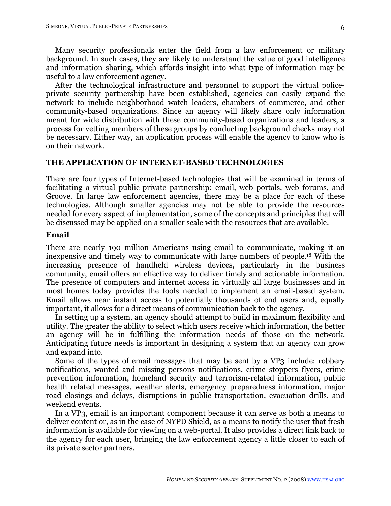Many security professionals enter the field from a law enforcement or military background. In such cases, they are likely to understand the value of good intelligence and information sharing, which affords insight into what type of information may be useful to a law enforcement agency.

After the technological infrastructure and personnel to support the virtual policeprivate security partnership have been established, agencies can easily expand the network to include neighborhood watch leaders, chambers of commerce, and other community-based organizations. Since an agency will likely share only information meant for wide distribution with these community-based organizations and leaders, a process for vetting members of these groups by conducting background checks may not be necessary. Either way, an application process will enable the agency to know who is on their network.

## **THE APPLICATION OF INTERNET-BASED TECHNOLOGIES**

There are four types of Internet-based technologies that will be examined in terms of facilitating a virtual public-private partnership: email, web portals, web forums, and Groove. In large law enforcement agencies, there may be a place for each of these technologies. Although smaller agencies may not be able to provide the resources needed for every aspect of implementation, some of the concepts and principles that will be discussed may be applied on a smaller scale with the resources that are available.

## **Email**

There are nearly 190 million Americans using email to communicate, making it an inexpensive and timely way to communicate with large numbers of people.18 With the increasing presence of handheld wireless devices, particularly in the business community, email offers an effective way to deliver timely and actionable information. The presence of computers and internet access in virtually all large businesses and in most homes today provides the tools needed to implement an email-based system. Email allows near instant access to potentially thousands of end users and, equally important, it allows for a direct means of communication back to the agency.

In setting up a system, an agency should attempt to build in maximum flexibility and utility. The greater the ability to select which users receive which information, the better an agency will be in fulfilling the information needs of those on the network. Anticipating future needs is important in designing a system that an agency can grow and expand into.

Some of the types of email messages that may be sent by a VP3 include: robbery notifications, wanted and missing persons notifications, crime stoppers flyers, crime prevention information, homeland security and terrorism-related information, public health related messages, weather alerts, emergency preparedness information, major road closings and delays, disruptions in public transportation, evacuation drills, and weekend events.

In a VP3, email is an important component because it can serve as both a means to deliver content or, as in the case of NYPD Shield, as a means to notify the user that fresh information is available for viewing on a web-portal. It also provides a direct link back to the agency for each user, bringing the law enforcement agency a little closer to each of its private sector partners.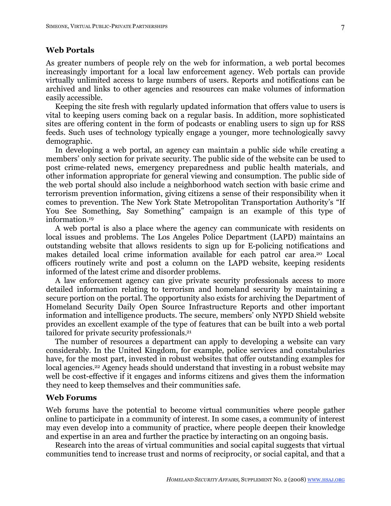## **Web Portals**

As greater numbers of people rely on the web for information, a web portal becomes increasingly important for a local law enforcement agency. Web portals can provide virtually unlimited access to large numbers of users. Reports and notifications can be archived and links to other agencies and resources can make volumes of information easily accessible.

Keeping the site fresh with regularly updated information that offers value to users is vital to keeping users coming back on a regular basis. In addition, more sophisticated sites are offering content in the form of podcasts or enabling users to sign up for RSS feeds. Such uses of technology typically engage a younger, more technologically savvy demographic.

In developing a web portal, an agency can maintain a public side while creating a members' only section for private security. The public side of the website can be used to post crime-related news, emergency preparedness and public health materials, and other information appropriate for general viewing and consumption. The public side of the web portal should also include a neighborhood watch section with basic crime and terrorism prevention information, giving citizens a sense of their responsibility when it comes to prevention. The New York State Metropolitan Transportation Authority's "If You See Something, Say Something" campaign is an example of this type of information.19

A web portal is also a place where the agency can communicate with residents on local issues and problems. The Los Angeles Police Department (LAPD) maintains an outstanding website that allows residents to sign up for E-policing notifications and makes detailed local crime information available for each patrol car area.20 Local officers routinely write and post a column on the LAPD website, keeping residents informed of the latest crime and disorder problems.

A law enforcement agency can give private security professionals access to more detailed information relating to terrorism and homeland security by maintaining a secure portion on the portal. The opportunity also exists for archiving the Department of Homeland Security Daily Open Source Infrastructure Reports and other important information and intelligence products. The secure, members' only NYPD Shield website provides an excellent example of the type of features that can be built into a web portal tailored for private security professionals.21

The number of resources a department can apply to developing a website can vary considerably. In the United Kingdom, for example, police services and constabularies have, for the most part, invested in robust websites that offer outstanding examples for local agencies.<sup>22</sup> Agency heads should understand that investing in a robust website may well be cost-effective if it engages and informs citizens and gives them the information they need to keep themselves and their communities safe.

#### **Web Forums**

Web forums have the potential to become virtual communities where people gather online to participate in a community of interest. In some cases, a community of interest may even develop into a community of practice, where people deepen their knowledge and expertise in an area and further the practice by interacting on an ongoing basis.

Research into the areas of virtual communities and social capital suggests that virtual communities tend to increase trust and norms of reciprocity, or social capital, and that a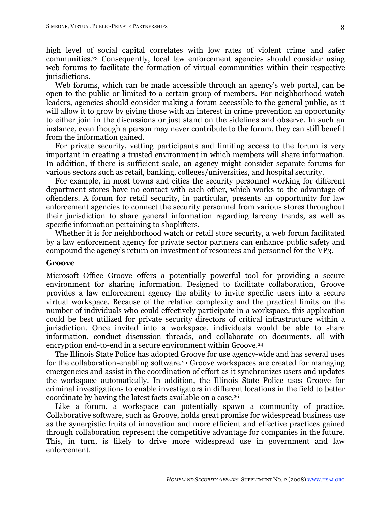high level of social capital correlates with low rates of violent crime and safer communities.23 Consequently, local law enforcement agencies should consider using web forums to facilitate the formation of virtual communities within their respective jurisdictions.

Web forums, which can be made accessible through an agency's web portal, can be open to the public or limited to a certain group of members. For neighborhood watch leaders, agencies should consider making a forum accessible to the general public, as it will allow it to grow by giving those with an interest in crime prevention an opportunity to either join in the discussions or just stand on the sidelines and observe. In such an instance, even though a person may never contribute to the forum, they can still benefit from the information gained.

For private security, vetting participants and limiting access to the forum is very important in creating a trusted environment in which members will share information. In addition, if there is sufficient scale, an agency might consider separate forums for various sectors such as retail, banking, colleges/universities, and hospital security.

For example, in most towns and cities the security personnel working for different department stores have no contact with each other, which works to the advantage of offenders. A forum for retail security, in particular, presents an opportunity for law enforcement agencies to connect the security personnel from various stores throughout their jurisdiction to share general information regarding larceny trends, as well as specific information pertaining to shoplifters.

Whether it is for neighborhood watch or retail store security, a web forum facilitated by a law enforcement agency for private sector partners can enhance public safety and compound the agency's return on investment of resources and personnel for the VP3.

#### **Groove**

Microsoft Office Groove offers a potentially powerful tool for providing a secure environment for sharing information. Designed to facilitate collaboration, Groove provides a law enforcement agency the ability to invite specific users into a secure virtual workspace. Because of the relative complexity and the practical limits on the number of individuals who could effectively participate in a workspace, this application could be best utilized for private security directors of critical infrastructure within a jurisdiction. Once invited into a workspace, individuals would be able to share information, conduct discussion threads, and collaborate on documents, all with encryption end-to-end in a secure environment within Groove.<sup>24</sup>

The Illinois State Police has adopted Groove for use agency-wide and has several uses for the collaboration-enabling software.<sup>25</sup> Groove workspaces are created for managing emergencies and assist in the coordination of effort as it synchronizes users and updates the workspace automatically. In addition, the Illinois State Police uses Groove for criminal investigations to enable investigators in different locations in the field to better coordinate by having the latest facts available on a case.26

Like a forum, a workspace can potentially spawn a community of practice. Collaborative software, such as Groove, holds great promise for widespread business use as the synergistic fruits of innovation and more efficient and effective practices gained through collaboration represent the competitive advantage for companies in the future. This, in turn, is likely to drive more widespread use in government and law enforcement.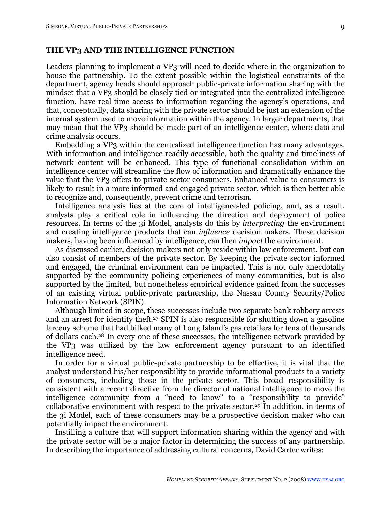#### **THE VP3 AND THE INTELLIGENCE FUNCTION**

Leaders planning to implement a VP3 will need to decide where in the organization to house the partnership. To the extent possible within the logistical constraints of the department, agency heads should approach public-private information sharing with the mindset that a VP3 should be closely tied or integrated into the centralized intelligence function, have real-time access to information regarding the agency's operations, and that, conceptually, data sharing with the private sector should be just an extension of the internal system used to move information within the agency. In larger departments, that may mean that the VP3 should be made part of an intelligence center, where data and crime analysis occurs.

Embedding a VP3 within the centralized intelligence function has many advantages. With information and intelligence readily accessible, both the quality and timeliness of network content will be enhanced. This type of functional consolidation within an intelligence center will streamline the flow of information and dramatically enhance the value that the VP3 offers to private sector consumers. Enhanced value to consumers is likely to result in a more informed and engaged private sector, which is then better able to recognize and, consequently, prevent crime and terrorism.

Intelligence analysis lies at the core of intelligence-led policing, and, as a result, analysts play a critical role in influencing the direction and deployment of police resources. In terms of the 3i Model, analysts do this by *interpreting* the environment and creating intelligence products that can *influence* decision makers. These decision makers, having been influenced by intelligence, can then *impact* the environment.

As discussed earlier, decision makers not only reside within law enforcement, but can also consist of members of the private sector. By keeping the private sector informed and engaged, the criminal environment can be impacted. This is not only anecdotally supported by the community policing experiences of many communities, but is also supported by the limited, but nonetheless empirical evidence gained from the successes of an existing virtual public-private partnership, the Nassau County Security/Police Information Network (SPIN).

Although limited in scope, these successes include two separate bank robbery arrests and an arrest for identity theft.<sup>27</sup> SPIN is also responsible for shutting down a gasoline larceny scheme that had bilked many of Long Island's gas retailers for tens of thousands of dollars each.28 In every one of these successes, the intelligence network provided by the VP3 was utilized by the law enforcement agency pursuant to an identified intelligence need.

In order for a virtual public-private partnership to be effective, it is vital that the analyst understand his/her responsibility to provide informational products to a variety of consumers, including those in the private sector. This broad responsibility is consistent with a recent directive from the director of national intelligence to move the intelligence community from a "need to know" to a "responsibility to provide" collaborative environment with respect to the private sector.29 In addition, in terms of the 3i Model, each of these consumers may be a prospective decision maker who can potentially impact the environment.

Instilling a culture that will support information sharing within the agency and with the private sector will be a major factor in determining the success of any partnership. In describing the importance of addressing cultural concerns, David Carter writes: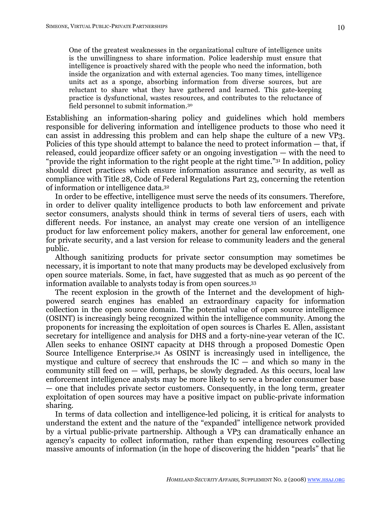One of the greatest weaknesses in the organizational culture of intelligence units is the unwillingness to share information. Police leadership must ensure that intelligence is proactively shared with the people who need the information, both inside the organization and with external agencies. Too many times, intelligence

units act as a sponge, absorbing information from diverse sources, but are reluctant to share what they have gathered and learned. This gate-keeping practice is dysfunctional, wastes resources, and contributes to the reluctance of field personnel to submit information.30

Establishing an information-sharing policy and guidelines which hold members responsible for delivering information and intelligence products to those who need it can assist in addressing this problem and can help shape the culture of a new VP3. Policies of this type should attempt to balance the need to protect information — that, if released, could jeopardize officer safety or an ongoing investigation — with the need to "provide the right information to the right people at the right time."31 In addition, policy should direct practices which ensure information assurance and security, as well as compliance with Title 28, Code of Federal Regulations Part 23, concerning the retention of information or intelligence data.32

In order to be effective, intelligence must serve the needs of its consumers. Therefore, in order to deliver quality intelligence products to both law enforcement and private sector consumers, analysts should think in terms of several tiers of users, each with different needs. For instance, an analyst may create one version of an intelligence product for law enforcement policy makers, another for general law enforcement, one for private security, and a last version for release to community leaders and the general public.

Although sanitizing products for private sector consumption may sometimes be necessary, it is important to note that many products may be developed exclusively from open source materials. Some, in fact, have suggested that as much as 90 percent of the information available to analysts today is from open sources.33

The recent explosion in the growth of the Internet and the development of highpowered search engines has enabled an extraordinary capacity for information collection in the open source domain. The potential value of open source intelligence (OSINT) is increasingly being recognized within the intelligence community. Among the proponents for increasing the exploitation of open sources is Charles E. Allen, assistant secretary for intelligence and analysis for DHS and a forty-nine-year veteran of the IC. Allen seeks to enhance OSINT capacity at DHS through a proposed Domestic Open Source Intelligence Enterprise.34 As OSINT is increasingly used in intelligence, the mystique and culture of secrecy that enshrouds the  $IC -$  and which so many in the community still feed on  $-$  will, perhaps, be slowly degraded. As this occurs, local law enforcement intelligence analysts may be more likely to serve a broader consumer base — one that includes private sector customers. Consequently, in the long term, greater exploitation of open sources may have a positive impact on public-private information sharing.

In terms of data collection and intelligence-led policing, it is critical for analysts to understand the extent and the nature of the "expanded" intelligence network provided by a virtual public-private partnership. Although a VP3 can dramatically enhance an agency's capacity to collect information, rather than expending resources collecting massive amounts of information (in the hope of discovering the hidden "pearls" that lie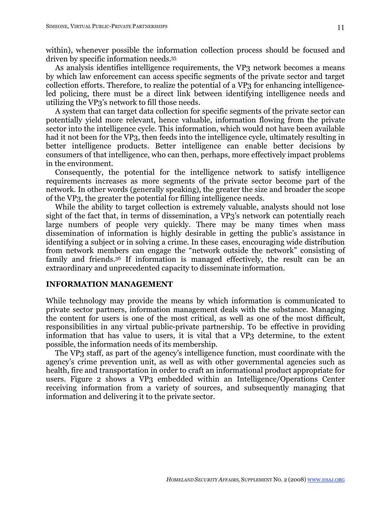within), whenever possible the information collection process should be focused and driven by specific information needs.35

As analysis identifies intelligence requirements, the VP3 network becomes a means by which law enforcement can access specific segments of the private sector and target collection efforts. Therefore, to realize the potential of a VP3 for enhancing intelligenceled policing, there must be a direct link between identifying intelligence needs and utilizing the VP3's network to fill those needs.

A system that can target data collection for specific segments of the private sector can potentially yield more relevant, hence valuable, information flowing from the private sector into the intelligence cycle. This information, which would not have been available had it not been for the VP3, then feeds into the intelligence cycle, ultimately resulting in better intelligence products. Better intelligence can enable better decisions by consumers of that intelligence, who can then, perhaps, more effectively impact problems in the environment.

Consequently, the potential for the intelligence network to satisfy intelligence requirements increases as more segments of the private sector become part of the network. In other words (generally speaking), the greater the size and broader the scope of the VP3, the greater the potential for filling intelligence needs.

While the ability to target collection is extremely valuable, analysts should not lose sight of the fact that, in terms of dissemination, a VP3's network can potentially reach large numbers of people very quickly. There may be many times when mass dissemination of information is highly desirable in getting the public's assistance in identifying a subject or in solving a crime. In these cases, encouraging wide distribution from network members can engage the "network outside the network" consisting of family and friends.36 If information is managed effectively, the result can be an extraordinary and unprecedented capacity to disseminate information.

## **INFORMATION MANAGEMENT**

While technology may provide the means by which information is communicated to private sector partners, information management deals with the substance. Managing the content for users is one of the most critical, as well as one of the most difficult, responsibilities in any virtual public-private partnership. To be effective in providing information that has value to users, it is vital that a VP3 determine, to the extent possible, the information needs of its membership.

The VP3 staff, as part of the agency's intelligence function, must coordinate with the agency's crime prevention unit, as well as with other governmental agencies such as health, fire and transportation in order to craft an informational product appropriate for users. Figure 2 shows a VP3 embedded within an Intelligence/Operations Center receiving information from a variety of sources, and subsequently managing that information and delivering it to the private sector.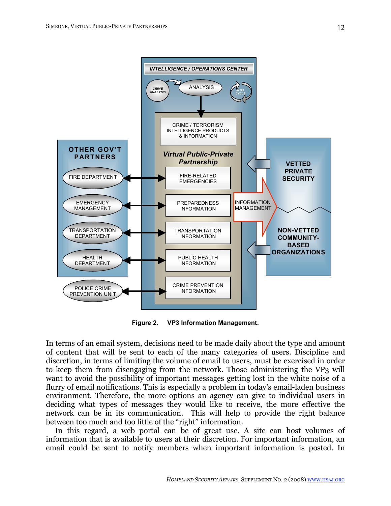

**Figure 2. VP3 Information Management.**

In terms of an email system, decisions need to be made daily about the type and amount of content that will be sent to each of the many categories of users. Discipline and discretion, in terms of limiting the volume of email to users, must be exercised in order to keep them from disengaging from the network. Those administering the VP3 will want to avoid the possibility of important messages getting lost in the white noise of a flurry of email notifications. This is especially a problem in today's email-laden business environment. Therefore, the more options an agency can give to individual users in deciding what types of messages they would like to receive, the more effective the network can be in its communication. This will help to provide the right balance between too much and too little of the "right" information.

In this regard, a web portal can be of great use. A site can host volumes of information that is available to users at their discretion. For important information, an email could be sent to notify members when important information is posted. In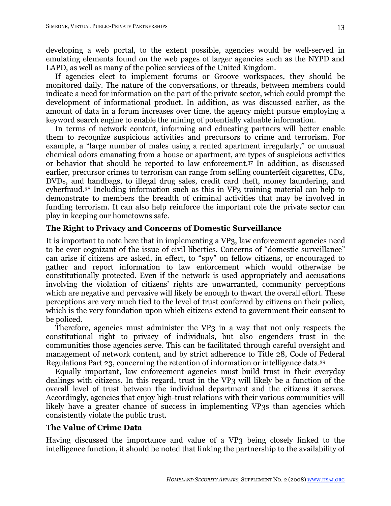developing a web portal, to the extent possible, agencies would be well-served in emulating elements found on the web pages of larger agencies such as the NYPD and LAPD, as well as many of the police services of the United Kingdom.

If agencies elect to implement forums or Groove workspaces, they should be monitored daily. The nature of the conversations, or threads, between members could indicate a need for information on the part of the private sector, which could prompt the development of informational product. In addition, as was discussed earlier, as the amount of data in a forum increases over time, the agency might pursue employing a keyword search engine to enable the mining of potentially valuable information.

In terms of network content, informing and educating partners will better enable them to recognize suspicious activities and precursors to crime and terrorism. For example, a "large number of males using a rented apartment irregularly," or unusual chemical odors emanating from a house or apartment, are types of suspicious activities or behavior that should be reported to law enforcement.37 In addition, as discussed earlier, precursor crimes to terrorism can range from selling counterfeit cigarettes, CDs, DVDs, and handbags, to illegal drug sales, credit card theft, money laundering, and cyberfraud.38 Including information such as this in VP3 training material can help to demonstrate to members the breadth of criminal activities that may be involved in funding terrorism. It can also help reinforce the important role the private sector can play in keeping our hometowns safe.

## **The Right to Privacy and Concerns of Domestic Surveillance**

It is important to note here that in implementing a VP3, law enforcement agencies need to be ever cognizant of the issue of civil liberties. Concerns of "domestic surveillance" can arise if citizens are asked, in effect, to "spy" on fellow citizens, or encouraged to gather and report information to law enforcement which would otherwise be constitutionally protected. Even if the network is used appropriately and accusations involving the violation of citizens' rights are unwarranted, community perceptions which are negative and pervasive will likely be enough to thwart the overall effort. These perceptions are very much tied to the level of trust conferred by citizens on their police, which is the very foundation upon which citizens extend to government their consent to be policed.

Therefore, agencies must administer the VP3 in a way that not only respects the constitutional right to privacy of individuals, but also engenders trust in the communities those agencies serve. This can be facilitated through careful oversight and management of network content, and by strict adherence to Title 28, Code of Federal Regulations Part 23, concerning the retention of information or intelligence data.39

Equally important, law enforcement agencies must build trust in their everyday dealings with citizens. In this regard, trust in the VP3 will likely be a function of the overall level of trust between the individual department and the citizens it serves. Accordingly, agencies that enjoy high-trust relations with their various communities will likely have a greater chance of success in implementing VP3s than agencies which consistently violate the public trust.

## **The Value of Crime Data**

Having discussed the importance and value of a VP3 being closely linked to the intelligence function, it should be noted that linking the partnership to the availability of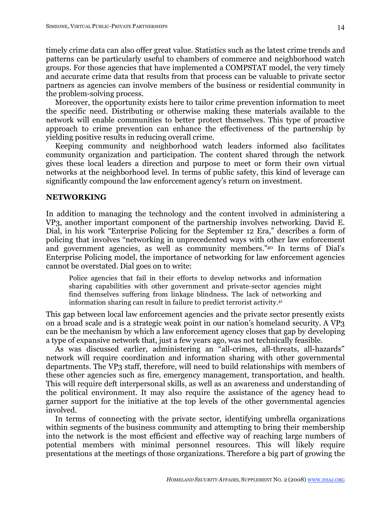timely crime data can also offer great value. Statistics such as the latest crime trends and patterns can be particularly useful to chambers of commerce and neighborhood watch groups. For those agencies that have implemented a COMPSTAT model, the very timely and accurate crime data that results from that process can be valuable to private sector partners as agencies can involve members of the business or residential community in the problem-solving process.

Moreover, the opportunity exists here to tailor crime prevention information to meet the specific need. Distributing or otherwise making these materials available to the network will enable communities to better protect themselves. This type of proactive approach to crime prevention can enhance the effectiveness of the partnership by yielding positive results in reducing overall crime.

Keeping community and neighborhood watch leaders informed also facilitates community organization and participation. The content shared through the network gives these local leaders a direction and purpose to meet or form their own virtual networks at the neighborhood level. In terms of public safety, this kind of leverage can significantly compound the law enforcement agency's return on investment.

#### **NETWORKING**

In addition to managing the technology and the content involved in administering a VP3, another important component of the partnership involves networking. David E. Dial, in his work "Enterprise Policing for the September 12 Era," describes a form of policing that involves "networking in unprecedented ways with other law enforcement and government agencies, as well as community members."40 In terms of Dial's Enterprise Policing model, the importance of networking for law enforcement agencies cannot be overstated. Dial goes on to write:

Police agencies that fail in their efforts to develop networks and information sharing capabilities with other government and private-sector agencies might find themselves suffering from linkage blindness. The lack of networking and information sharing can result in failure to predict terrorist activity.41

This gap between local law enforcement agencies and the private sector presently exists on a broad scale and is a strategic weak point in our nation's homeland security. A VP3 can be the mechanism by which a law enforcement agency closes that gap by developing a type of expansive network that, just a few years ago, was not technically feasible.

As was discussed earlier, administering an "all-crimes, all-threats, all-hazards" network will require coordination and information sharing with other governmental departments. The VP3 staff, therefore, will need to build relationships with members of these other agencies such as fire, emergency management, transportation, and health. This will require deft interpersonal skills, as well as an awareness and understanding of the political environment. It may also require the assistance of the agency head to garner support for the initiative at the top levels of the other governmental agencies involved.

In terms of connecting with the private sector, identifying umbrella organizations within segments of the business community and attempting to bring their membership into the network is the most efficient and effective way of reaching large numbers of potential members with minimal personnel resources. This will likely require presentations at the meetings of those organizations. Therefore a big part of growing the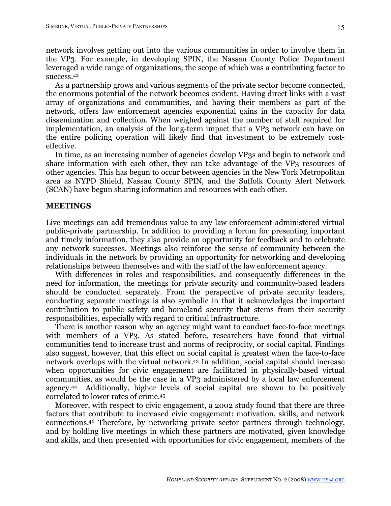network involves getting out into the various communities in order to involve them in the VP3. For example, in developing SPIN, the Nassau County Police Department leveraged a wide range of organizations, the scope of which was a contributing factor to success.42

As a partnership grows and various segments of the private sector become connected, the enormous potential of the network becomes evident. Having direct links with a vast array of organizations and communities, and having their members as part of the network, offers law enforcement agencies exponential gains in the capacity for data dissemination and collection. When weighed against the number of staff required for implementation, an analysis of the long-term impact that a VP3 network can have on the entire policing operation will likely find that investment to be extremely costeffective.

In time, as an increasing number of agencies develop VP3s and begin to network and share information with each other, they can take advantage of the VP3 resources of other agencies. This has begun to occur between agencies in the New York Metropolitan area as NYPD Shield, Nassau County SPIN, and the Suffolk County Alert Network (SCAN) have begun sharing information and resources with each other.

#### **MEETINGS**

Live meetings can add tremendous value to any law enforcement-administered virtual public-private partnership. In addition to providing a forum for presenting important and timely information, they also provide an opportunity for feedback and to celebrate any network successes. Meetings also reinforce the sense of community between the individuals in the network by providing an opportunity for networking and developing relationships between themselves and with the staff of the law enforcement agency.

With differences in roles and responsibilities, and consequently differences in the need for information, the meetings for private security and community-based leaders should be conducted separately. From the perspective of private security leaders, conducting separate meetings is also symbolic in that it acknowledges the important contribution to public safety and homeland security that stems from their security responsibilities, especially with regard to critical infrastructure.

There is another reason why an agency might want to conduct face-to-face meetings with members of a VP3. As stated before, researchers have found that virtual communities tend to increase trust and norms of reciprocity, or social capital. Findings also suggest, however, that this effect on social capital is greatest when the face-to-face network overlaps with the virtual network.43 In addition, social capital should increase when opportunities for civic engagement are facilitated in physically-based virtual communities, as would be the case in a VP3 administered by a local law enforcement agency.44 Additionally, higher levels of social capital are shown to be positively correlated to lower rates of crime.45

Moreover, with respect to civic engagement, a 2002 study found that there are three factors that contribute to increased civic engagement: motivation, skills, and network connections.46 Therefore, by networking private sector partners through technology, and by holding live meetings in which these partners are motivated, given knowledge and skills, and then presented with opportunities for civic engagement, members of the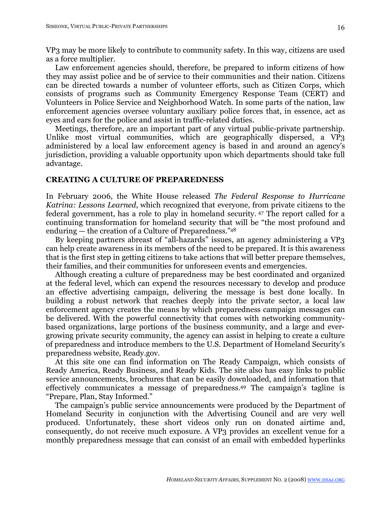VP3 may be more likely to contribute to community safety. In this way, citizens are used as a force multiplier.

Law enforcement agencies should, therefore, be prepared to inform citizens of how they may assist police and be of service to their communities and their nation. Citizens can be directed towards a number of volunteer efforts, such as Citizen Corps, which consists of programs such as Community Emergency Response Team (CERT) and Volunteers in Police Service and Neighborhood Watch. In some parts of the nation, law enforcement agencies oversee voluntary auxiliary police forces that, in essence, act as eyes and ears for the police and assist in traffic-related duties.

Meetings, therefore, are an important part of any virtual public-private partnership. Unlike most virtual communities, which are geographically dispersed, a VP3 administered by a local law enforcement agency is based in and around an agency's jurisdiction, providing a valuable opportunity upon which departments should take full advantage.

## **CREATING A CULTURE OF PREPAREDNESS**

In February 2006, the White House released *The Federal Response to Hurricane Katrina: Lessons Learned*, which recognized that everyone, from private citizens to the federal government, has a role to play in homeland security. 47 The report called for a continuing transformation for homeland security that will be "the most profound and enduring — the creation of a Culture of Preparedness."48

By keeping partners abreast of "all-hazards" issues, an agency administering a VP3 can help create awareness in its members of the need to be prepared. It is this awareness that is the first step in getting citizens to take actions that will better prepare themselves, their families, and their communities for unforeseen events and emergencies.

Although creating a culture of preparedness may be best coordinated and organized at the federal level, which can expend the resources necessary to develop and produce an effective advertising campaign, delivering the message is best done locally. In building a robust network that reaches deeply into the private sector, a local law enforcement agency creates the means by which preparedness campaign messages can be delivered. With the powerful connectivity that comes with networking communitybased organizations, large portions of the business community, and a large and evergrowing private security community, the agency can assist in helping to create a culture of preparedness and introduce members to the U.S. Department of Homeland Security's preparedness website, Ready.gov.

At this site one can find information on The Ready Campaign, which consists of Ready America, Ready Business, and Ready Kids. The site also has easy links to public service announcements, brochures that can be easily downloaded, and information that effectively communicates a message of preparedness.49 The campaign's tagline is "Prepare, Plan, Stay Informed."

The campaign's public service announcements were produced by the Department of Homeland Security in conjunction with the Advertising Council and are very well produced. Unfortunately, these short videos only run on donated airtime and, consequently, do not receive much exposure. A VP3 provides an excellent venue for a monthly preparedness message that can consist of an email with embedded hyperlinks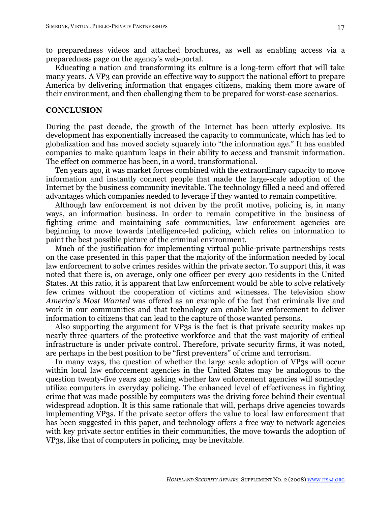to preparedness videos and attached brochures, as well as enabling access via a preparedness page on the agency's web-portal.

Educating a nation and transforming its culture is a long-term effort that will take many years. A VP3 can provide an effective way to support the national effort to prepare America by delivering information that engages citizens, making them more aware of their environment, and then challenging them to be prepared for worst-case scenarios.

#### **CONCLUSION**

During the past decade, the growth of the Internet has been utterly explosive. Its development has exponentially increased the capacity to communicate, which has led to globalization and has moved society squarely into "the information age." It has enabled companies to make quantum leaps in their ability to access and transmit information. The effect on commerce has been, in a word, transformational.

Ten years ago, it was market forces combined with the extraordinary capacity to move information and instantly connect people that made the large-scale adoption of the Internet by the business community inevitable. The technology filled a need and offered advantages which companies needed to leverage if they wanted to remain competitive.

Although law enforcement is not driven by the profit motive, policing is, in many ways, an information business. In order to remain competitive in the business of fighting crime and maintaining safe communities, law enforcement agencies are beginning to move towards intelligence-led policing, which relies on information to paint the best possible picture of the criminal environment.

Much of the justification for implementing virtual public-private partnerships rests on the case presented in this paper that the majority of the information needed by local law enforcement to solve crimes resides within the private sector. To support this, it was noted that there is, on average, only one officer per every 400 residents in the United States. At this ratio, it is apparent that law enforcement would be able to solve relatively few crimes without the cooperation of victims and witnesses. The television show *America's Most Wanted* was offered as an example of the fact that criminals live and work in our communities and that technology can enable law enforcement to deliver information to citizens that can lead to the capture of those wanted persons.

Also supporting the argument for VP3s is the fact is that private security makes up nearly three-quarters of the protective workforce and that the vast majority of critical infrastructure is under private control. Therefore, private security firms, it was noted, are perhaps in the best position to be "first preventers" of crime and terrorism.

In many ways, the question of whether the large scale adoption of VP3s will occur within local law enforcement agencies in the United States may be analogous to the question twenty-five years ago asking whether law enforcement agencies will someday utilize computers in everyday policing. The enhanced level of effectiveness in fighting crime that was made possible by computers was the driving force behind their eventual widespread adoption. It is this same rationale that will, perhaps drive agencies towards implementing VP3s. If the private sector offers the value to local law enforcement that has been suggested in this paper, and technology offers a free way to network agencies with key private sector entities in their communities, the move towards the adoption of VP3s, like that of computers in policing, may be inevitable.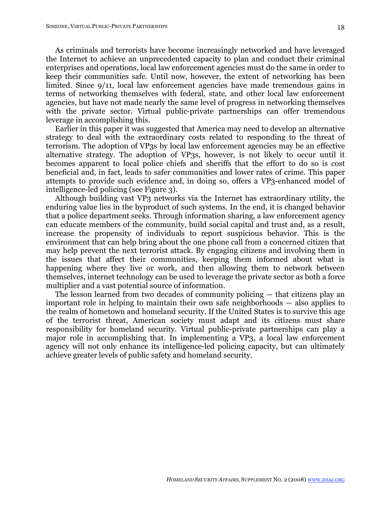As criminals and terrorists have become increasingly networked and have leveraged the Internet to achieve an unprecedented capacity to plan and conduct their criminal enterprises and operations, local law enforcement agencies must do the same in order to keep their communities safe. Until now, however, the extent of networking has been limited. Since 9/11, local law enforcement agencies have made tremendous gains in terms of networking themselves with federal, state, and other local law enforcement agencies, but have not made nearly the same level of progress in networking themselves with the private sector. Virtual public-private partnerships can offer tremendous leverage in accomplishing this.

Earlier in this paper it was suggested that America may need to develop an alternative strategy to deal with the extraordinary costs related to responding to the threat of terrorism. The adoption of VP3s by local law enforcement agencies may be an effective alternative strategy. The adoption of VP3s, however, is not likely to occur until it becomes apparent to local police chiefs and sheriffs that the effort to do so is cost beneficial and, in fact, leads to safer communities and lower rates of crime. This paper attempts to provide such evidence and, in doing so, offers a VP3-enhanced model of intelligence-led policing (see Figure 3).

Although building vast VP3 networks via the Internet has extraordinary utility, the enduring value lies in the byproduct of such systems. In the end, it is changed behavior that a police department seeks. Through information sharing, a law enforcement agency can educate members of the community, build social capital and trust and, as a result, increase the propensity of individuals to report suspicious behavior. This is the environment that can help bring about the one phone call from a concerned citizen that may help prevent the next terrorist attack. By engaging citizens and involving them in the issues that affect their communities, keeping them informed about what is happening where they live or work, and then allowing them to network between themselves, internet technology can be used to leverage the private sector as both a force multiplier and a vast potential source of information.

The lesson learned from two decades of community policing — that citizens play an important role in helping to maintain their own safe neighborhoods — also applies to the realm of hometown and homeland security. If the United States is to survive this age of the terrorist threat, American society must adapt and its citizens must share responsibility for homeland security. Virtual public-private partnerships can play a major role in accomplishing that. In implementing a VP3, a local law enforcement agency will not only enhance its intelligence-led policing capacity, but can ultimately achieve greater levels of public safety and homeland security.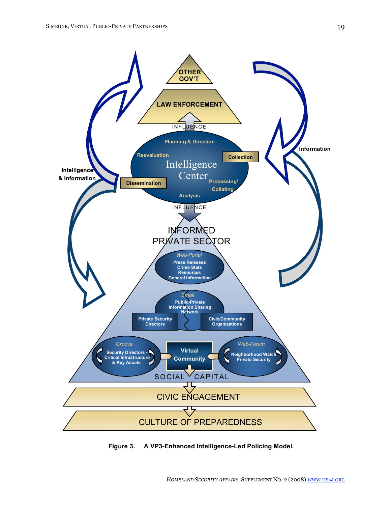19



**Figure 3. A VP3-Enhanced Intelligence-Led Policing Model.**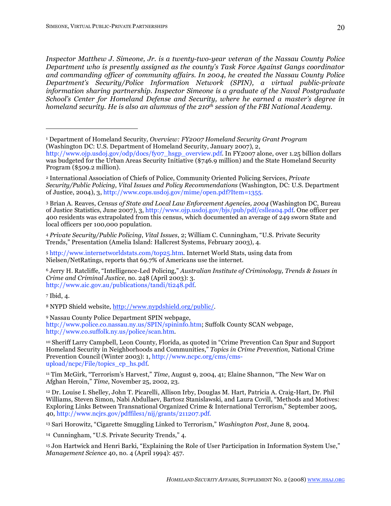*Inspector Matthew J. Simeone, Jr. is a twenty-two-year veteran of the Nassau County Police Department who is presently assigned as the county's Task Force Against Gangs coordinator and commanding officer of community affairs. In 2004, he created the Nassau County Police Department's Security/Police Information Network (SPIN), a virtual public-private information sharing partnership. Inspector Simeone is a graduate of the Naval Postgraduate School's Center for Homeland Defense and Security, where he earned a master's degree in homeland security. He is also an alumnus of the 210<sup>th</sup> session of the FBI National Academy.* 

<sup>4</sup> *Private Security/Public Policing*, *Vital Issues*, 2; William C. Cunningham, "U.S. Private Security Trends," Presentation (Amelia Island: Hallcrest Systems, February 2003), 4.

<sup>5</sup> http://www.internetworldstats.com/top25.htm. Internet World Stats, using data from Nielsen/NetRatings, reports that 69.7% of Americans use the internet.

7 Ibid, 4.

14 Cunningham, "U.S. Private Security Trends," 4.

15 Jon Hartwick and Henri Barki, "Explaining the Role of User Participation in Information System Use," *Management Science* 40, no. 4 (April 1994): 457.

<sup>1</sup> Department of Homeland Security, *Overview: FY2007 Homeland Security Grant Program* (Washington DC: U.S. Department of Homeland Security, January 2007), 2,

http://www.ojp.usdoj.gov/odp/docs/fyo7\_hsgp\_overview.pdf. In FY2007 alone, over 1.25 billion dollars was budgeted for the Urban Areas Security Initiative (\$746.9 million) and the State Homeland Security Program (\$509.2 million).

<sup>2</sup> International Association of Chiefs of Police, Community Oriented Policing Services, *Private Security/Public Policing*, *Vital Issues and Policy Recommendations* (Washington, DC: U.S. Department of Justice, 2004), 3, http://www.cops.usdoj.gov/mime/open.pdf?Item=1355.

<sup>3</sup> Brian A. Reaves, *Census of State and Local Law Enforcement Agencies, 2004* (Washington DC, Bureau of Justice Statistics, June 2007), 3, http://www.ojp.usdoj.gov/bjs/pub/pdf/csllea04.pdf. One officer per 400 residents was extrapolated from this census, which documented an average of 249 sworn State and local officers per 100,000 population.

<sup>6</sup> Jerry H. Ratcliffe, "Intelligence-Led Policing," *Australian Institute of Criminology, Trends & Issues in Crime and Criminal Justice*, no. 248 (April 2003): 3. http://www.aic.gov.au/publications/tandi/ti248.pdf.

<sup>8</sup> NYPD Shield website, http://www.nypdshield.org/public/.

<sup>9</sup> Nassau County Police Department SPIN webpage, http://www.police.co.nassau.ny.us/SPIN/spininfo.htm; Suffolk County SCAN webpage, http://www.co.suffolk.ny.us/police/scan.htm.

<sup>10</sup> Sheriff Larry Campbell, Leon County, Florida, as quoted in "Crime Prevention Can Spur and Support Homeland Security in Neighborhoods and Communities," *Topics in Crime Prevention,* National Crime Prevention Council (Winter 2003): 1, http://www.ncpc.org/cms/cmsupload/ncpc/File/topics\_cp\_hs.pdf.

<sup>11</sup> Tim McGirk, "Terrorism's Harvest," *Time*, August 9, 2004, 41; Elaine Shannon, "The New War on Afghan Heroin," *Time*, November 25, 2002, 23.

<sup>12</sup> Dr. Louise I. Shelley, John T. Picarelli, Allison Irby, Douglas M. Hart, Patricia A. Craig-Hart, Dr. Phil Williams, Steven Simon, Nabi Abdullaev, Bartosz Stanislawski, and Laura Covill, "Methods and Motives: Exploring Links Between Transnational Organized Crime & International Terrorism," September 2005, 40, http://www.ncjrs.gov/pdffiles1/nij/grants/211207.pdf.

<sup>13</sup> Sari Horowitz, "Cigarette Smuggling Linked to Terrorism," *Washington Post*, June 8, 2004.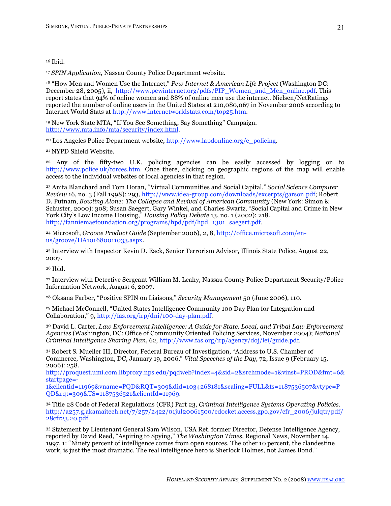16 Ibid.

<sup>17</sup> *SPIN Application*, Nassau County Police Department website.

<sup>18</sup> "How Men and Women Use the Internet," *Pew Internet & American Life Project* (Washington DC: December 28, 2005), ii, http://www.pewinternet.org/pdfs/PIP\_Women\_and\_Men\_online.pdf. This report states that 94% of online women and 88% of online men use the internet. Nielsen/NetRatings reported the number of online users in the United States at 210,080,067 in November 2006 according to Internet World Stats at http://www.internetworldstats.com/top25.htm.

19 New York State MTA, "If You See Something, Say Something" Campaign. http://www.mta.info/mta/security/index.html.

20 Los Angeles Police Department website, http://www.lapdonline.org/e\_policing.

21 NYPD Shield Website.

22 Any of the fifty-two U.K. policing agencies can be easily accessed by logging on to http://www.police.uk/forces.htm. Once there, clicking on geographic regions of the map will enable access to the individual websites of local agencies in that region.

<sup>23</sup> Anita Blanchard and Tom Horan, "Virtual Communities and Social Capital," *Social Science Computer Review* 16, no. 3 (Fall 1998): 293, http://www.idea-group.com/downloads/excerpts/garson.pdf; Robert D. Putnam, *Bowling Alone: The Collapse and Revival of American Community* (New York: Simon & Schuster, 2000): 308; Susan Saegert, Gary Winkel, and Charles Swartz, "Social Capital and Crime in New York City's Low Income Housing," *Housing Policy Debate* 13, no. 1 (2002): 218. http://fanniemaefoundation.org/programs/hpd/pdf/hpd\_1301\_saegert.pdf.

24 Microsoft, *Groove Product Guide* (September 2006), 2, 8, http://office.microsoft.com/enus/groove/HA101680011033.aspx.

25 Interview with Inspector Kevin D. Eack, Senior Terrorism Advisor, Illinois State Police, August 22, 2007.

26 Ibid.

27 Interview with Detective Sergeant William M. Leahy, Nassau County Police Department Security/Police Information Network, August 6, 2007.

<sup>28</sup> Oksana Farber, "Positive SPIN on Liaisons," *Security Management* 50 (June 2006), 110.

<sup>29</sup> Michael McConnell, "United States Intelligence Community 100 Day Plan for Integration and Collaboration," 9, http://fas.org/irp/dni/100-day-plan.pdf.

30 David L. Carter, *Law Enforcement Intelligence: A Guide for State, Local, and Tribal Law Enforcement Agencies* (Washington, DC: Office of Community Oriented Policing Services, November 2004); *National Criminal Intelligence Sharing Plan*, 62, http://www.fas.org/irp/agency/doj/lei/guide.pdf.

31 Robert S. Mueller III, Director, Federal Bureau of Investigation, "Address to U.S. Chamber of Commerce, Washington, DC, January 19, 2006," *Vital Speeches of the Day,* 72, Issue 9 (February 15, 2006): 258.

http://proquest.umi.com.libproxy.nps.edu/pqdweb?index=4&sid=2&srchmode=1&vinst=PROD&fmt=6& startpage=-

1&clientid=11969&vname=PQD&RQT=309&did=1034268181&scaling=FULL&ts=1187536507&vtype=P QD&rqt=309&TS=1187536521&clientId=11969.

32 Title 28 Code of Federal Regulations (CFR) Part 23, *Criminal Intelligence Systems Operating Policies*. http://a257.g.akamaitech.net/7/257/2422/01jul20061500/edocket.access.gpo.gov/cfr\_2006/julqtr/pdf/ 28cfr23.20.pdf.

33 Statement by Lieutenant General Sam Wilson, USA Ret. former Director, Defense Intelligence Agency, reported by David Reed, "Aspiring to Spying," *The Washington Times,* Regional News, November 14, 1997, 1: "Ninety percent of intelligence comes from open sources. The other 10 percent, the clandestine work, is just the most dramatic. The real intelligence hero is Sherlock Holmes, not James Bond."